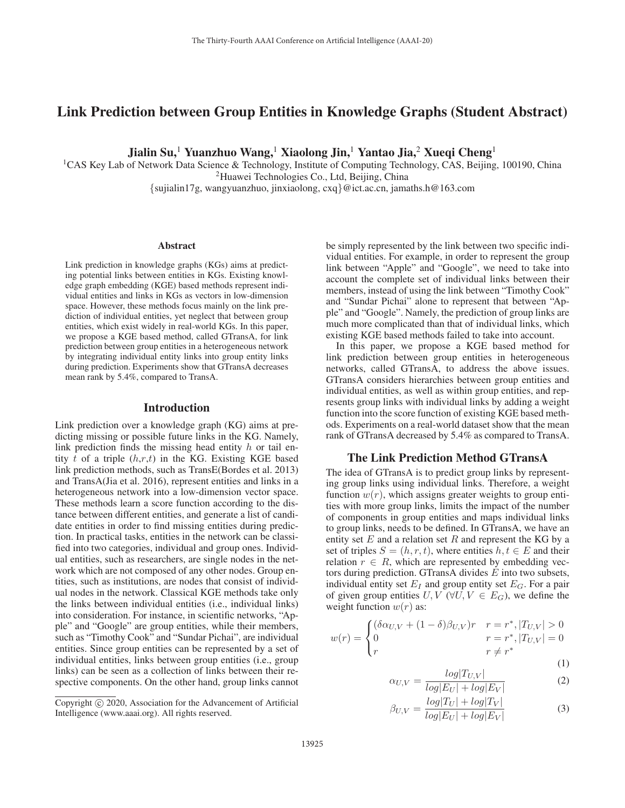# Link Prediction between Group Entities in Knowledge Graphs (Student Abstract)

Jialin Su,<sup>1</sup> Yuanzhuo Wang,<sup>1</sup> Xiaolong Jin,<sup>1</sup> Yantao Jia,<sup>2</sup> Xueqi Cheng<sup>1</sup>

<sup>1</sup>CAS Key Lab of Network Data Science & Technology, Institute of Computing Technology, CAS, Beijing, 100190, China 2Huawei Technologies Co., Ltd, Beijing, China {sujialin17g, wangyuanzhuo, jinxiaolong, cxq}@ict.ac.cn, jamaths.h@163.com

#### Abstract

Link prediction in knowledge graphs (KGs) aims at predicting potential links between entities in KGs. Existing knowledge graph embedding (KGE) based methods represent individual entities and links in KGs as vectors in low-dimension space. However, these methods focus mainly on the link prediction of individual entities, yet neglect that between group entities, which exist widely in real-world KGs. In this paper, we propose a KGE based method, called GTransA, for link prediction between group entities in a heterogeneous network by integrating individual entity links into group entity links during prediction. Experiments show that GTransA decreases mean rank by 5.4%, compared to TransA.

### Introduction

Link prediction over a knowledge graph (KG) aims at predicting missing or possible future links in the KG. Namely, link prediction finds the missing head entity  $h$  or tail entity  $t$  of a triple  $(h,r,t)$  in the KG. Existing KGE based link prediction methods, such as TransE(Bordes et al. 2013) and TransA(Jia et al. 2016), represent entities and links in a heterogeneous network into a low-dimension vector space. These methods learn a score function according to the distance between different entities, and generate a list of candidate entities in order to find missing entities during prediction. In practical tasks, entities in the network can be classified into two categories, individual and group ones. Individual entities, such as researchers, are single nodes in the network which are not composed of any other nodes. Group entities, such as institutions, are nodes that consist of individual nodes in the network. Classical KGE methods take only the links between individual entities (i.e., individual links) into consideration. For instance, in scientific networks, "Apple" and "Google" are group entities, while their members, such as "Timothy Cook" and "Sundar Pichai", are individual entities. Since group entities can be represented by a set of individual entities, links between group entities (i.e., group links) can be seen as a collection of links between their respective components. On the other hand, group links cannot be simply represented by the link between two specific individual entities. For example, in order to represent the group link between "Apple" and "Google", we need to take into account the complete set of individual links between their members, instead of using the link between "Timothy Cook" and "Sundar Pichai" alone to represent that between "Apple" and "Google". Namely, the prediction of group links are much more complicated than that of individual links, which existing KGE based methods failed to take into account.

In this paper, we propose a KGE based method for link prediction between group entities in heterogeneous networks, called GTransA, to address the above issues. GTransA considers hierarchies between group entities and individual entities, as well as within group entities, and represents group links with individual links by adding a weight function into the score function of existing KGE based methods. Experiments on a real-world dataset show that the mean rank of GTransA decreased by 5.4% as compared to TransA.

### The Link Prediction Method GTransA

The idea of GTransA is to predict group links by representing group links using individual links. Therefore, a weight function  $w(r)$ , which assigns greater weights to group entities with more group links, limits the impact of the number of components in group entities and maps individual links to group links, needs to be defined. In GTransA, we have an entity set  $E$  and a relation set  $R$  and represent the KG by a set of triples  $S = (h, r, t)$ , where entities  $h, t \in E$  and their relation  $r \in R$ , which are represented by embedding vectors during prediction. GTransA divides E into two subsets, individual entity set  $E_I$  and group entity set  $E_G$ . For a pair of given group entities  $U, V \, (\forall U, V \in E_G)$ , we define the weight function  $w(r)$  as:

$$
w(r) = \begin{cases} (\delta \alpha_{U,V} + (1 - \delta) \beta_{U,V})r & r = r^*, |T_{U,V}| > 0\\ 0 & r = r^*, |T_{U,V}| = 0\\ r & r \neq r^* \end{cases}
$$
(1)

$$
\alpha_{U,V} = \frac{log|T_{U,V}|}{log|E_U| + log|E_V|}
$$
(2)

$$
\beta_{U,V} = \frac{\log |T_U| + \log |T_V|}{\log |E_U| + \log |E_V|} \tag{3}
$$

Copyright  $\odot$  2020, Association for the Advancement of Artificial Intelligence (www.aaai.org). All rights reserved.